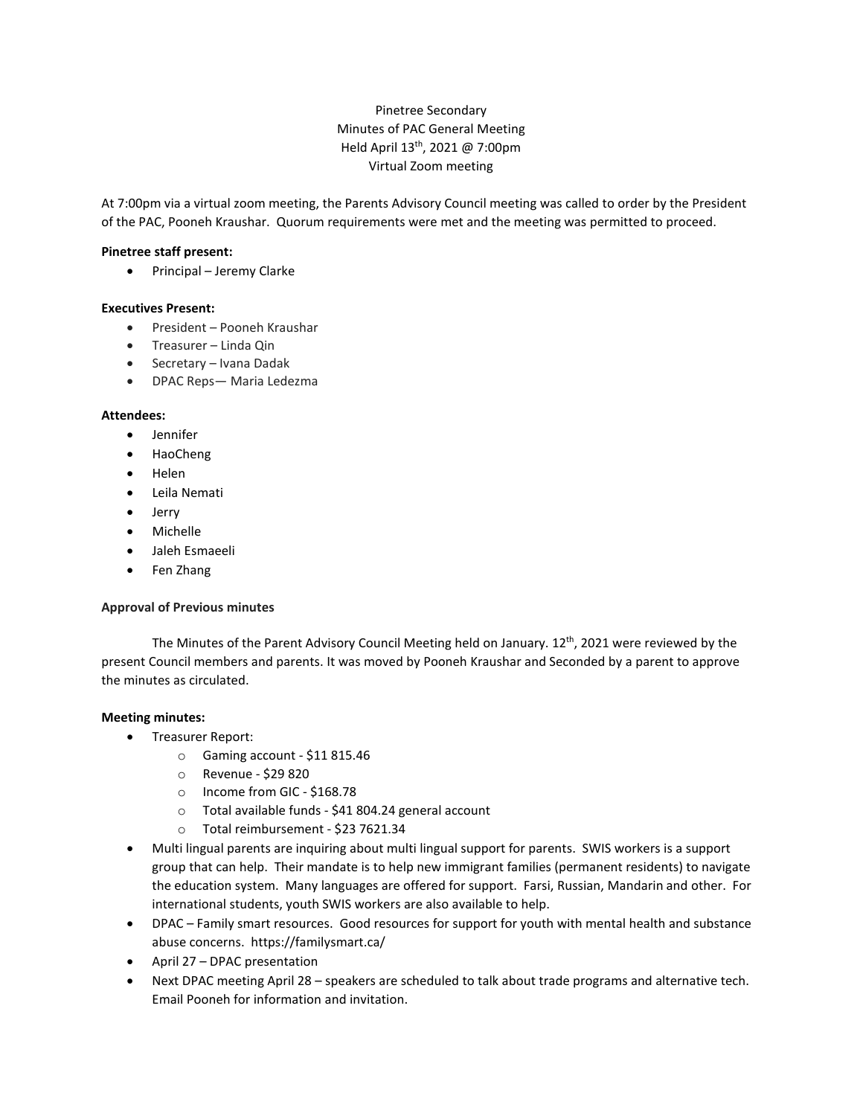# Pinetree Secondary Minutes of PAC General Meeting Held April 13th, 2021 @ 7:00pm Virtual Zoom meeting

At 7:00pm via a virtual zoom meeting, the Parents Advisory Council meeting was called to order by the President of the PAC, Pooneh Kraushar. Quorum requirements were met and the meeting was permitted to proceed.

## **Pinetree staff present:**

• Principal – Jeremy Clarke

## **Executives Present:**

- President Pooneh Kraushar
- Treasurer Linda Qin
- Secretary Ivana Dadak
- DPAC Reps— Maria Ledezma

## **Attendees:**

- Jennifer
- HaoCheng
- Helen
- Leila Nemati
- Jerry
- Michelle
- Jaleh Esmaeeli
- Fen Zhang

#### **Approval of Previous minutes**

The Minutes of the Parent Advisory Council Meeting held on January. 12<sup>th</sup>, 2021 were reviewed by the present Council members and parents. It was moved by Pooneh Kraushar and Seconded by a parent to approve the minutes as circulated.

#### **Meeting minutes:**

- Treasurer Report:
	- o Gaming account \$11 815.46
	- o Revenue \$29 820
	- o Income from GIC \$168.78
	- o Total available funds \$41 804.24 general account
	- o Total reimbursement \$23 7621.34
- Multi lingual parents are inquiring about multi lingual support for parents. SWIS workers is a support group that can help. Their mandate is to help new immigrant families (permanent residents) to navigate the education system. Many languages are offered for support. Farsi, Russian, Mandarin and other. For international students, youth SWIS workers are also available to help.
- DPAC Family smart resources. Good resources for support for youth with mental health and substance abuse concerns. https://familysmart.ca/
- April 27 DPAC presentation
- Next DPAC meeting April 28 speakers are scheduled to talk about trade programs and alternative tech. Email Pooneh for information and invitation.